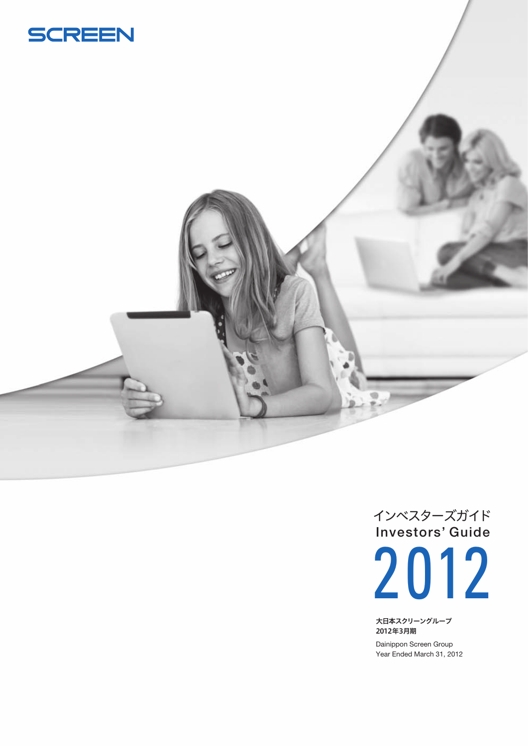





大日本スクリーングループ 2012年3月期

Dainippon Screen Group Year Ended March 31, 2012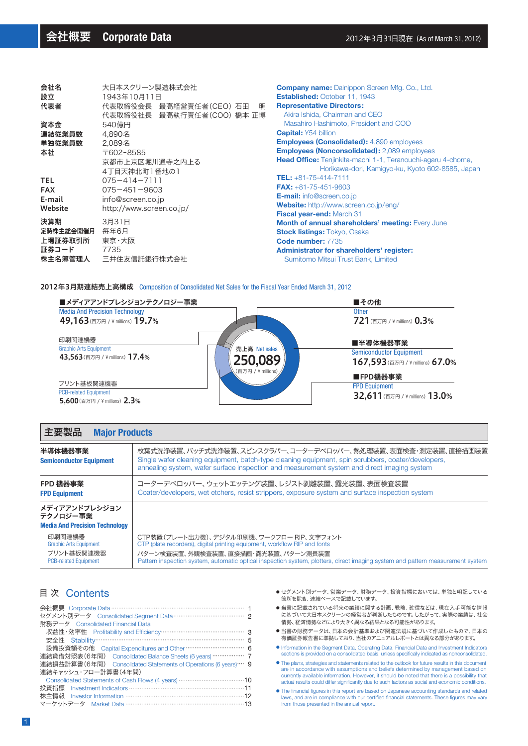| 会社名        | 大日本スクリーン製造株式会社                                             |                        |  |  |  |
|------------|------------------------------------------------------------|------------------------|--|--|--|
| 設立         | 1943年10月11日                                                | <b>Establis</b>        |  |  |  |
| 代表者        | 代表取締役会長 最高経営責任者(CEO) 石田<br>明<br>代表取締役社長 最高執行責任者(COO) 橋本 正博 | <b>Repres</b><br>Akira |  |  |  |
| 資本金        | 540億円                                                      | Masa                   |  |  |  |
| 連結従業員数     | 4.890名                                                     | <b>Capital</b>         |  |  |  |
| 単独従業員数     | 2.089名                                                     | <b>Employ</b>          |  |  |  |
| 本社         | 〒602-8585                                                  | <b>Employ</b>          |  |  |  |
|            | 京都市上京区堀川通寺之内上る<br>4丁目天神北町1番地の1                             | <b>Head O</b>          |  |  |  |
| <b>TEL</b> | $075 - 414 - 7111$                                         | $TEL: +8$              |  |  |  |
| <b>FAX</b> | $075 - 451 - 9603$                                         | $FAX: +8$              |  |  |  |
| E-mail     | info@screen.co.jp                                          | E-mail:                |  |  |  |
| Website    | http://www.screen.co.jp/                                   | <b>Websit</b>          |  |  |  |
|            |                                                            | <b>Fiscal</b> y        |  |  |  |
| 決算期        | 3月31日                                                      | <b>Month</b>           |  |  |  |
| 定時株主総会開催月  | 毎年6月                                                       | <b>Stock li</b>        |  |  |  |
| 上場証券取引所    | 東京・大阪                                                      | Code <sub>n</sub>      |  |  |  |
| 証券コード      | 7735                                                       | <b>Adminis</b>         |  |  |  |
| 株主名簿管理人    | 三井住友信託銀行株式会社                                               | Sumit                  |  |  |  |
|            |                                                            |                        |  |  |  |

**Iny name:** Dainippon Screen Mfg. Co., Ltd. **Established:** October 11, 1943 **Representative Directors:** Ishida, Chairman and CEO hiro Hashimoto, President and COO **Capital:** ¥54 billion **Employees (Consolidated):** 4,890 employees **Employees (Nonconsolidated):** 2,089 employees **Hfice:** Tenjinkita-machi 1-1, Teranouchi-agaru 4-chome, Horikawa-dori, Kamigyo-ku, Kyoto 602-8585, Japan **TEL:** +81-75-414-7111 **FAX:** +81-75-451-9603 **E-mail:** info@screen.co.jp **e:** http://www.screen.co.jp/eng/ **Fiscal year-end:** March 31 of annual shareholders' meeting: Every June **istings:** Tokyo, Osaka **Code number:** 7735 **Administrator for shareholders' register:** tomo Mitsui Trust Bank, Limited

#### 2012年3月期連結売上高構成 Composition of Consolidated Net Sales for the Fiscal Year Ended March 31, 2012



#### 主要製品 **Major Products**

| 半導体機器事業<br><b>Semiconductor Equipment</b>                                             | 枚葉式洗浄装置、バッチ式洗浄装置、スピンスクラバー、コーターデベロッパー、熱処理装置、表面検査・測定装置、直接描画装置<br>Single wafer cleaning equipment, batch-type cleaning equipment, spin scrubbers, coater/developers,<br>annealing system, wafer surface inspection and measurement system and direct imaging system                              |
|---------------------------------------------------------------------------------------|-----------------------------------------------------------------------------------------------------------------------------------------------------------------------------------------------------------------------------------------------------------------------------------------------|
| FPD 機器事業<br><b>FPD Equipment</b>                                                      | コーターデベロッパー、ウェットエッチング装置、レジスト剥離装置、露光装置、表面検査装置<br>Coater/developers, wet etchers, resist strippers, exposure system and surface inspection system                                                                                                                                                |
| メディアアンドプレシジョン<br>テクノロジー事業<br><b>Media And Precision Technology</b>                    |                                                                                                                                                                                                                                                                                               |
| 印刷関連機器<br><b>Graphic Arts Equipment</b><br>プリント基板関連機器<br><b>PCB-related Equipment</b> | CTP装置(プレート出力機)、デジタル印刷機、ワークフロー RIP、文字フォント<br>CTP (plate recorders), digital printing equipment, workflow RIP and fonts<br>パターン検査装置、外観検査装置、直接描画・露光装置、パターン測長装置<br>Pattern inspection system, automatic optical inspection system, plotters, direct imaging system and pattern measurement system |
|                                                                                       |                                                                                                                                                                                                                                                                                               |

# 目 次 Contents

| セグメント別データ Consolidated Seqment Data ……………………………………… 2           |  |
|-----------------------------------------------------------------|--|
| 財務データ Consolidated Financial Data                               |  |
|                                                                 |  |
|                                                                 |  |
| 設備投資額その他 Capital Expenditures and Other …………………………… 6           |  |
| 連結貸借対照表(6年間) Consolidated Balance Sheets (6 years) ……………… 7     |  |
| 連結損益計算書(6年間) Consolidated Statements of Operations (6 years)… 9 |  |
| 連結キャッシュ・フロー計算書(4年間)                                             |  |
|                                                                 |  |
|                                                                 |  |
|                                                                 |  |
| マーケットデータ Market Data ………………………………………………………13                    |  |

- セグメント別データ、営業データ、財務データ、投資指標においては、単独と明記している 箇所を除き、連結ベースで記載しています。
- 当書に記載されている将来の業績に関する計画、戦略、確信などは、現在入手可能な情報 ーローに載って、・・。 ここへの未続になっていた。<br>「に基づいて大日本スクリーンの経営者が判断したものです。 したがって、実際の業績は、社会 情勢、経済情勢などにより大きく異なる結果となる可能性があります。
- 当書の財務データは、日本の会計基準および関連法規に基づいて作成したもので、日本の 有価証券報告書に準拠しており、当社のアニュアルレポートとは異なる部分があります。
- Information in the Segment Data, Operating Data, Financial Data and Investment Indicators sections is provided on a consolidated basis, unless specifically indicated as nonconsolidated. ●
- The plans, strategies and statements related to the outlook for future results in this document are in accordance with assumptions and beliefs determined by management based on currently available information. However, it should be noted that there is a possibility that actual results could differ significantly due to such factors as social and economic conditions.
- The financial figures in this report are based on Japanese accounting standards and related laws, and are in compliance with our certified financial statements. These figures may vary from those presented in the annual report.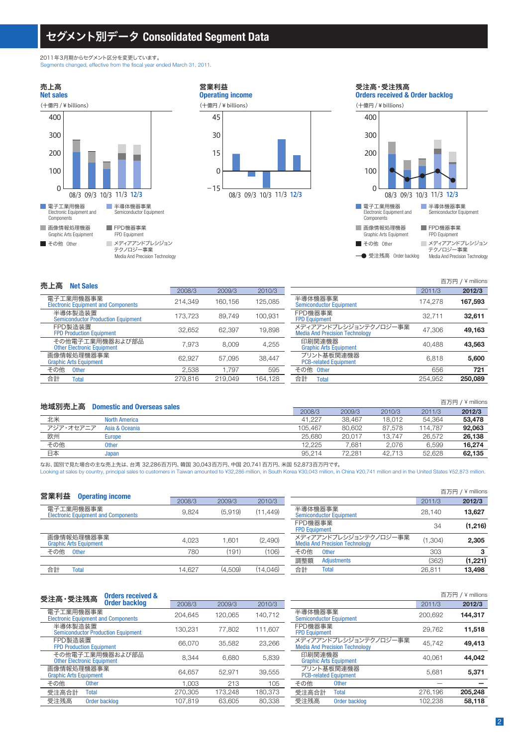# セグメント別データ **Consolidated Segment Data**

Media And Precision Technology

2011年3月期からセグメント区分を変更しています。 Segments changed, effective from the fiscal year ended March 31, 2011.

■ 画像情報処理機器 Graphic Arts Equipment 電子工業用機器 Electronic Equipment and Components ■ その他 Other FPD機器事業 FPD Equipment 半導体機器事業 Semiconductor Equipment メディアアンドプレシジョン テクノロジー事業 **Net sales** 売上高 08/3 09/3 10/3 11/3 12/3 (十億円 / ¥ billions) 100 200 400 300 0





受注高・受注残高

**→** 受注残高 Order backlog Media And Precision Technology

| 売上高<br><b>Net Sales</b>                                 |         |         |         |                                                                |         | 百万円 / ¥ millions |
|---------------------------------------------------------|---------|---------|---------|----------------------------------------------------------------|---------|------------------|
|                                                         | 2008/3  | 2009/3  | 2010/3  |                                                                | 2011/3  | 2012/3           |
| 電子工業用機器事業<br><b>Electronic Equipment and Components</b> | 214.349 | 160.156 | 125,085 | 半導体機器事業<br><b>Semiconductor Equipment</b>                      | 174.278 | 167,593          |
| 半導体製造装置<br><b>Semiconductor Production Equipment</b>    | 173.723 | 89.749  | 100.931 | FPD機器事業<br><b>FPD Equipment</b>                                | 32.711  | 32.611           |
| FPD製造装置<br><b>FPD Production Equipment</b>              | 32.652  | 62.397  | 19,898  | メディアアンドプレシジョンテクノロジー事業<br><b>Media And Precision Technology</b> | 47.306  | 49.163           |
| その他電子工業用機器および部品<br><b>Other Electronic Equipment</b>    | 7.973   | 8.009   | 4.255   | 印刷関連機器<br><b>Graphic Arts Equipment</b>                        | 40.488  | 43,563           |
| 画像情報処理機器事業<br><b>Graphic Arts Equipment</b>             | 62.927  | 57.095  | 38.447  | プリント基板関連機器<br><b>PCB-related Equipment</b>                     | 6.818   | 5,600            |
| その他<br><b>Other</b>                                     | 2.538   | 1.797   | 595     | その他 Other                                                      | 656     | 721              |
| 合計<br>Total                                             | 279.816 | 219.049 | 164.128 | 合計<br><b>Total</b>                                             | 254.952 | 250,089          |
|                                                         |         |         |         |                                                                |         |                  |

| 地域別売上高    | <b>Domestic and Overseas sales</b> |         |        |        |         | 百万円 / ¥ millions |
|-----------|------------------------------------|---------|--------|--------|---------|------------------|
|           |                                    | 2008/3  | 2009/3 | 2010/3 | 2011/3  | 2012/3           |
| 北米        | <b>North America</b>               | 41.227  | 38.467 | 18.012 | 54,364  | 53,478           |
| アジア・オセアニア | Asia & Oceania                     | 105.467 | 80.602 | 87.578 | 114.787 | 92.063           |
| 欧州        | Europe                             | 25.680  | 20.017 | 13.747 | 26.572  | 26,138           |
| その他       | <b>Other</b>                       | 12.225  | 7.681  | 2.076  | 6.599   | 16.274           |
| 日本        | Japan                              | 95.214  | 72.281 | 42.713 | 52.628  | 62.135           |

なお、国別で見た場合の主な売上先は、台湾 32,286百万円、韓国 30,043百万円、中国 20,741百万円、米国 52,873百万円です。

Looking at sales by country, principal sales to customers in Taiwan amounted to ¥32,286 million, in South Korea ¥30,043 million, in China ¥20,741 million and in the United States ¥52,873 million.

|        |         |           |                                                                | 百万円     | $/$ ¥ millions |
|--------|---------|-----------|----------------------------------------------------------------|---------|----------------|
| 2008/3 | 2009/3  | 2010/3    |                                                                | 2011/3  | 2012/3         |
| 9.824  | (5.919) | (11, 449) | 半導体機器事業<br><b>Semiconductor Equipment</b>                      | 28.140  | 13,627         |
|        |         |           | FPD機器事業<br><b>FPD Equipment</b>                                | 34      | (1,216)        |
| 4.023  | .601    | (2,490)   | メディアアンドプレシジョンテクノロジー事業<br><b>Media And Precision Technology</b> | (1.304) | 2,305          |
| 780    | (191)   | (106)     | その他<br><b>Other</b>                                            | 303     |                |
|        |         |           | 調整額<br><b>Adjustments</b>                                      | (362)   | (1,221)        |
| 14.627 | (4.509) | (14.046)  | 合計<br><b>Total</b>                                             | 26.811  | 13,498         |
|        |         |           |                                                                |         |                |

| <b>Orders received &amp;</b><br>受注高·受注残高                |         |         |         |                                                                |         | 百万円 / ¥ millions |
|---------------------------------------------------------|---------|---------|---------|----------------------------------------------------------------|---------|------------------|
| <b>Order backlog</b>                                    | 2008/3  | 2009/3  | 2010/3  |                                                                | 2011/3  | 2012/3           |
| 電子工業用機器事業<br><b>Electronic Equipment and Components</b> | 204.645 | 120.065 | 140,712 | 半導体機器事業<br><b>Semiconductor Equipment</b>                      | 200.692 | 144,317          |
| 半導体製造装置<br><b>Semiconductor Production Equipment</b>    | 130.231 | 77,802  | 111,607 | FPD機器事業<br><b>FPD Equipment</b>                                | 29,762  | 11,518           |
| FPD製造装置<br><b>FPD Production Equipment</b>              | 66.070  | 35,582  | 23,266  | メディアアンドプレシジョンテクノロジー事業<br><b>Media And Precision Technology</b> | 45,742  | 49,413           |
| その他電子工業用機器および部品<br><b>Other Electronic Equipment</b>    | 8.344   | 6.680   | 5,839   | 印刷関連機器<br><b>Graphic Arts Equipment</b>                        | 40.061  | 44,042           |
| 画像情報処理機器事業<br><b>Graphic Arts Equipment</b>             | 64.657  | 52.971  | 39,555  | プリント基板関連機器<br><b>PCB-related Equipment</b>                     | 5.681   | 5,371            |
| その他<br><b>Other</b>                                     | 1.003   | 213     | 105     | その他<br><b>Other</b>                                            |         |                  |
| 受注高合計<br><b>Total</b>                                   | 270.305 | 173.248 | 180.373 | 受注高合計<br><b>Total</b>                                          | 276,196 | 205,248          |
| 受注残高<br>Order backlog                                   | 107.819 | 63.605  | 80,338  | 受注残高<br>Order backlog                                          | 102.238 | 58,118           |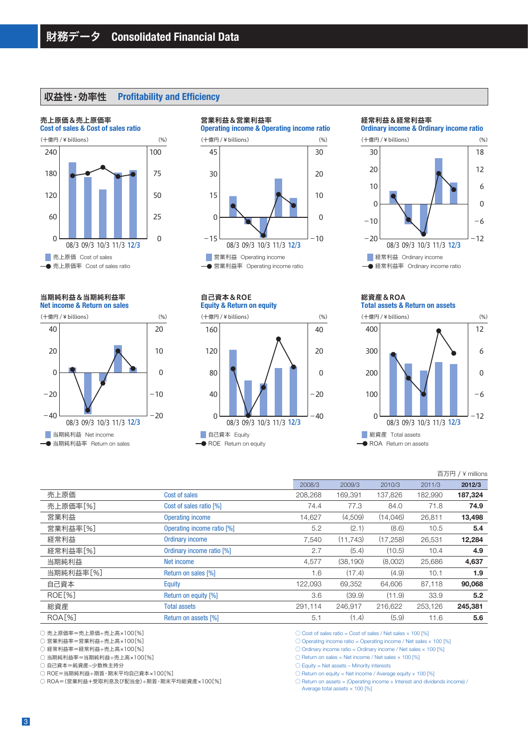# 収益性・効率性 **Profitability and Efficiency**

### **Cost of sales & Cost of sales ratio** 売上原価&売上原価率 ■ 売上原価 Cost of sales 08/3 09/3 10/3 11/3 12/3 (十億円 / ¥ billions) 60 120 240 180 0 25 50 100 75 0 売上原価率 Cost of sales ratio

**Net income & Return on sales** 当期純利益&当期純利益率



#### 08/3 09/3 10/3 11/3 12/3 **Operating income & Operating income ratio** (十億円 / ¥ billions)  $\overline{0}$ 15 45 30  $-15$ (%) (十億円 / ¥ billions) (%) (十億円 / ¥ billions) (%)  $\overline{0}$  $10$ 30 20  $-10$ 营業利益 Operating income 営業利益率 Operating income ratio

# 自己資本&ROE

営業利益&営業利益率

**Equity & Return on equity**



#### 経常利益&経常利益率

**Ordinary income & Ordinary income ratio**



#### **Total assets & Return on assets** 総資産&ROA



|               |                            |         |           |           |         | 百万円 / ¥ millions |
|---------------|----------------------------|---------|-----------|-----------|---------|------------------|
|               |                            | 2008/3  | 2009/3    | 2010/3    | 2011/3  | 2012/3           |
| 売上原価          | Cost of sales              | 208.268 | 169,391   | 137,826   | 182,990 | 187,324          |
| 売上原価率[%]      | Cost of sales ratio [%]    | 74.4    | 77.3      | 84.0      | 71.8    | 74.9             |
| 営業利益          | <b>Operating income</b>    | 14,627  | (4,509)   | (14,046)  | 26,811  | 13,498           |
| 営業利益率[%]      | Operating income ratio [%] | 5.2     | (2.1)     | (8.6)     | 10.5    | 5.4              |
| 経常利益          | <b>Ordinary income</b>     | 7,540   | (11.743)  | (17, 258) | 26,531  | 12,284           |
| 経常利益率[%]      | Ordinary income ratio [%]  | 2.7     | (5.4)     | (10.5)    | 10.4    | 4.9              |
| 当期純利益         | Net income                 | 4,577   | (38, 190) | (8,002)   | 25,686  | 4,637            |
| 当期純利益率[%]     | Return on sales [%]        | 1.6     | (17.4)    | (4.9)     | 10.1    | 1.9              |
| 自己資本          | Equity                     | 122.093 | 69.352    | 64.606    | 87,118  | 90,068           |
| <b>ROE[%]</b> | Return on equity [%]       | 3.6     | (39.9)    | (11.9)    | 33.9    | 5.2              |
| 総資産           | <b>Total assets</b>        | 291,114 | 246.917   | 216,622   | 253,126 | 245,381          |
| <b>ROA[%]</b> | Return on assets [%]       | 5.1     | (1.4)     | (5.9)     | 11.6    | 5.6              |
|               |                            |         |           |           |         |                  |

○ 売上原価率=売上原価÷売上高×100[%]

○ 営業利益率=営業利益÷売上高×100[%]

○ 経常利益率=経常利益÷売上高×100[%]

○ 当期純利益率=当期純利益÷売上高×100[%]

○ 自己資本=純資産-少数株主持分

○ ROE=当期純利益÷期首・期末平均自己資本×100[%]

○ ROA=(営業利益+受取利息及び配当金)÷期首・期末平均総資産×100[%]

- $\circlearrowright$  Cost of sales ratio = Cost of sales / Net sales  $\times$  100 [%]
- $\circlearrowright$  Operating income ratio = Operating income / Net sales  $\times$  100 [%]

 $\circlearrowright$  Ordinary income ratio = Ordinary income / Net sales  $\times$  100 [%]

 $\bigcirc$  Return on sales = Net income / Net sales  $\times$  100 [%]

 $\bigcirc$  Equity = Net assets – Minority interests

 $\bigcirc$  Return on equity = Net income / Average equity  $\times$  100 [%]

 $\bigcirc$  Return on assets = (Operating income + Interest and dividends income)  $\bigwedge$ 

Average total assets  $\times$  100 [%]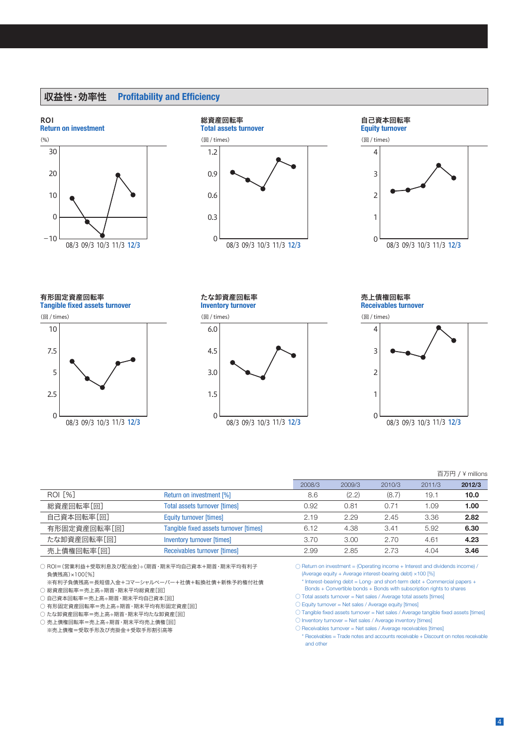# 収益性・効率性 **Profitability and Efficiency**

#### **Return on investment** ROI





#### **Equity turnover** 自己資本回転率



**Tangible fixed assets turnover** 有形固定資産回転率



# たな卸資産回転率

**Inventory turnover**



**Receivables turnover** 売上債権回転率



#### 百万円 / ¥ millions

|                |                                        |        |        |        |        | <b>DISPOSED THE 11 ILLUIS</b> |
|----------------|----------------------------------------|--------|--------|--------|--------|-------------------------------|
|                |                                        | 2008/3 | 2009/3 | 2010/3 | 2011/3 | 2012/3                        |
| <b>ROI [%]</b> | Return on investment [%]               | 8.6    | (2.2)  | (8.7)  | 19.1   | 10.0                          |
| 総資産回転率[回]      | <b>Total assets turnover [times]</b>   | 0.92   | 0.81   | 0.71   | 1.09   | 1.00                          |
| 自己資本回転率[回]     | <b>Equity turnover [times]</b>         | 2.19   | 2.29   | 2.45   | 3.36   | 2.82                          |
| 有形固定資産回転率[回]   | Tangible fixed assets turnover [times] | 6.12   | 4.38   | 3.41   | 5.92   | 6.30                          |
| たな卸資産回転率「回]    | <b>Inventory turnover [times]</b>      | 3.70   | 3.00   | 2.70   | 4.61   | 4.23                          |
| 売上債権回転率[回]     | Receivables turnover [times]           | 2.99   | 2.85   | 2.73   | 4.04   | 3.46                          |

○ ROI=(営業利益+受取利息及び配当金)÷(期首・期末平均自己資本+期首・期末平均有利子 負債残高)×100[%]

- ※有利子負債残高=長短借入金+コマーシャルペーパー+社債+転換社債+新株予約権付社債 ○ 総資産回転率=売上高÷期首・期末平均総資産[回]
- 自己資本回転率=売上高÷期首・期末平均自己資本[回]
- 有形固定資産回転率=売上高÷期首・期末平均有形固定資産[回]
- たな卸資産回転率=売上高÷期首・期末平均たな卸資産[回]
- 売上債権回転率=売上高÷期首・期末平均売上債権[回]
- ※売上債権=受取手形及び売掛金+受取手形割引高等

 $\bigcirc$  Return on investment = (Operating income + Interest and dividends income)  $\bigwedge$ (Average equity + Average interest-bearing debt) ×100 [%]

- \* Interest-bearing debt = Long- and short-term debt + Commercial papers +
- Bonds + Convertible bonds + Bonds with subscription rights to shares
- Total assets turnover = Net sales / Average total assets [times]
- $\bigcirc$  Equity turnover = Net sales / Average equity [times]
- Tangible fixed assets turnover = Net sales / Average tangible fixed assets [times]
- $\bigcirc$  Inventory turnover = Net sales / Average inventory [times]
- Receivables turnover = Net sales / Average receivables [times] \* Receivables = Trade notes and accounts receivable + Discount on notes receivable and other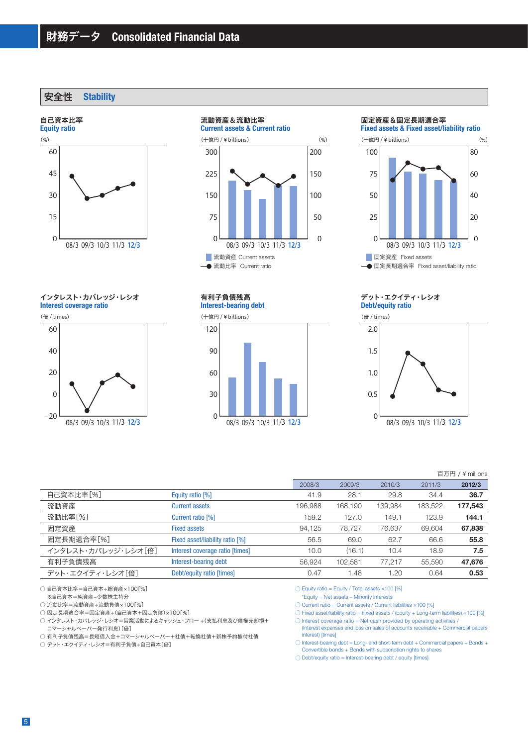安全性 **Stability**

#### 自己資本比率



インタレスト・カバレッジ・レシオ

**Interest coverage ratio**

(倍 / times)



流動資産&流動比率

**Current assets & Current ratio**



**Interest-bearing debt** 有利子負債残高

(十億円 / ¥ billions)



#### 固定資産&固定長期適合率

**Fixed assets & Fixed asset/liability ratio**



#### **Debt/equity ratio** デット・エクイティ・レシオ





#### 百万円 / ¥ millions

|                     |                                 | 2008/3  | 2009/3  | 2010/3  | 2011/3  | 2012/3  |
|---------------------|---------------------------------|---------|---------|---------|---------|---------|
| 自己資本比率[%]           | Equity ratio [%]                | 41.9    | 28.1    | 29.8    | 34.4    | 36.7    |
| 流動資産                | <b>Current assets</b>           | 196.988 | 168.190 | 139,984 | 183,522 | 177,543 |
| 流動比率[%]             | Current ratio [%]               | 159.2   | 127.0   | 149.1   | 123.9   | 144.1   |
| 固定資産                | <b>Fixed assets</b>             | 94,125  | 78,727  | 76,637  | 69,604  | 67,838  |
| 固定長期適合率[%]          | Fixed asset/liability ratio [%] | 56.5    | 69.0    | 62.7    | 66.6    | 55.8    |
| インタレスト・カバレッジ・レシオ「倍] | Interest coverage ratio [times] | 10.0    | (16.1)  | 10.4    | 18.9    | 7.5     |
| 有利子負債残高             | Interest-bearing debt           | 56.924  | 102.581 | 77.217  | 55,590  | 47,676  |
| デット・エクイティ・レシオ「倍]    | Debt/equity ratio [times]       | 0.47    | 1.48    | 1.20    | 0.64    | 0.53    |

○ 自己資本比率=自己資本÷総資産×100[%]

※自己資本=純資産-少数株主持分

○ 流動比率=流動資産÷流動負債×100[%]

──────────────────────────────<br>○ 固定長期適合率=固定資産÷(自己資本+固定負債)×100[%]

○ インタレスト・カバレッジ・レシオ=営業活動によるキャッシュ・フロー ÷(支払利息及び債権売却損+ コマーシャルペーパー発行利息)[倍]

○ 有利子負債残高=長短借入金+コマーシャルペーパー+社債+転換社債+新株予約権付社債

○ デット・エクイティ・レシオ=有利子負債÷自己資本[倍]

 $\bigcirc$  Equity ratio = Equity / Total assets  $\times$ 100 [%]

\*Equity = Net assets – Minority interests

 $\circlearrowright$  Current ratio = Current assets / Current liabilities  $\times$  100 [%]

 $\bigcirc$  Fixed asset/liability ratio = Fixed assets / (Equity + Long-term liabilities)  $\times$ 100 [%]

 $\bigcirc$  Interest coverage ratio = Net cash provided by operating activities / (Interest expenses and loss on sales of accounts receivable + Commercial papers interest) [times]

○ Interest-bearing debt = Long- and short-term debt + Commercial papers + Bonds + Convertible bonds + Bonds with subscription rights to shares

 $\bigcirc$  Debt/equity ratio = Interest-bearing debt / equity [times]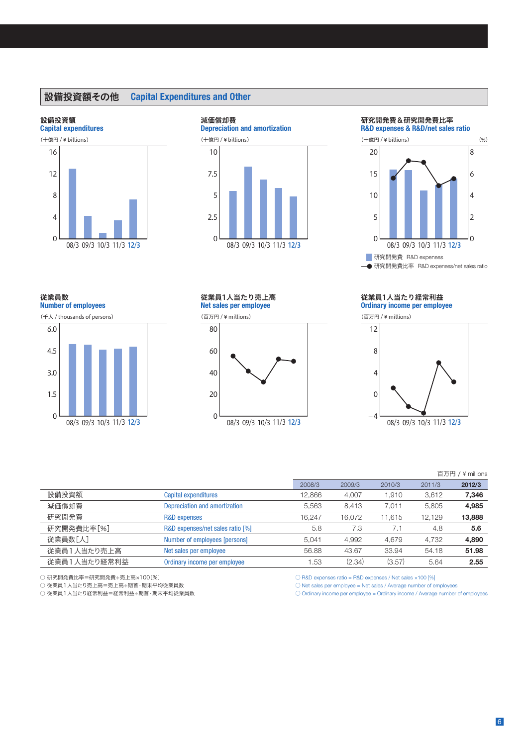# 設備投資額その他 **Capital Expenditures and Other**

#### 設備投資額

**Number of employees**

(千人 / thousands of persons)

従業員数

6.0

1.5

 $\overline{0}$ 

3.0

4.5





#### 研究開発費&研究開発費比率

**R&D expenses & R&D/net sales ratio**



**一●研究開発費比率 R&D expenses/net sales ratio** 

**Net sales per employee** 従業員1人当たり売上高

(百万円 / ¥ millions)



#### **Ordinary income per employee** 従業員1人当たり経常利益

(百万円 / ¥ millions)



## 百万円 / ¥ millions

|              |                                  | 2008/3 | 2009/3 | 2010/3 | 2011/3 | 2012/3 |
|--------------|----------------------------------|--------|--------|--------|--------|--------|
| 設備投資額        | Capital expenditures             | 12,866 | 4,007  | 1,910  | 3,612  | 7,346  |
| 減価償却費        | Depreciation and amortization    | 5.563  | 8.413  | 7,011  | 5,805  | 4,985  |
| 研究開発費        | R&D expenses                     | 16.247 | 16.072 | 11.615 | 12.129 | 13,888 |
| 研究開発費比率[%]   | R&D expenses/net sales ratio [%] | 5.8    | 7.3    | 7.1    | 4.8    | 5.6    |
| 従業員数[人]      | Number of employees [persons]    | 5.041  | 4.992  | 4.679  | 4.732  | 4.890  |
| 従業員1人当たり売上高  | Net sales per employee           | 56.88  | 43.67  | 33.94  | 54.18  | 51.98  |
| 従業員1人当たり経常利益 | Ordinary income per employee     | 1.53   | (2.34) | (3.57) | 5.64   | 2.55   |

○ 研究開発費比率=研究開発費÷売上高×100[%]

08/3 09/3 10/3 11/3 12/3

○ 従業員1人当たり売上高=売上高÷期首・期末平均従業員数

○ 従業員1人当たり経常利益=経常利益÷期首・期末平均従業員数

 $\bigcirc$  R&D expenses ratio = R&D expenses / Net sales  $\times$ 100 [%]

 $\bigcirc$  Net sales per employee = Net sales / Average number of employees

 $\bigcirc$  Ordinary income per employee = Ordinary income / Average number of employees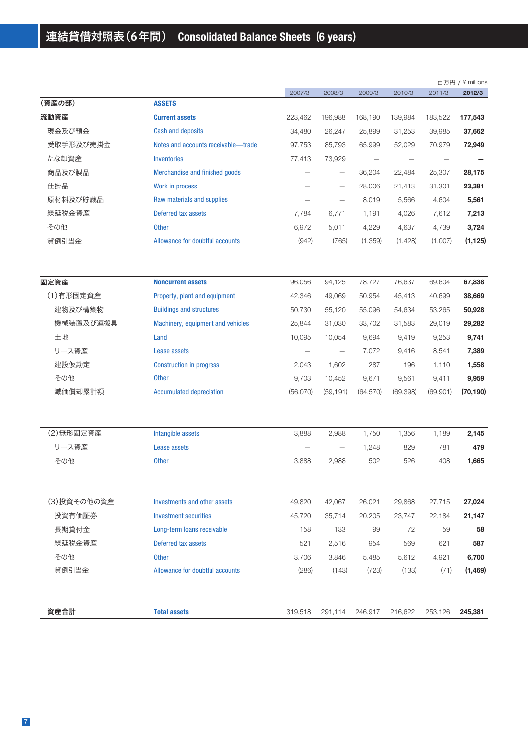|             |                                     |          |                          |                   |           |          | 百万円 / ¥ millions |
|-------------|-------------------------------------|----------|--------------------------|-------------------|-----------|----------|------------------|
|             |                                     | 2007/3   | 2008/3                   | 2009/3            | 2010/3    | 2011/3   | 2012/3           |
| (資産の部)      | <b>ASSETS</b>                       |          |                          |                   |           |          |                  |
| 流動資産        | <b>Current assets</b>               | 223,462  | 196,988                  | 168,190           | 139,984   | 183,522  | 177,543          |
| 現金及び預金      | <b>Cash and deposits</b>            | 34,480   | 26,247                   | 25,899            | 31,253    | 39,985   | 37,662           |
| 受取手形及び売掛金   | Notes and accounts receivable-trade | 97,753   | 85,793                   | 65,999            | 52,029    | 70,979   | 72,949           |
| たな卸資産       | <b>Inventories</b>                  | 77,413   | 73,929                   | $\qquad \qquad -$ |           |          |                  |
| 商品及び製品      | Merchandise and finished goods      |          | $\overline{\phantom{m}}$ | 36,204            | 22,484    | 25,307   | 28,175           |
| 仕掛品         | Work in process                     |          | $\qquad \qquad -$        | 28,006            | 21,413    | 31,301   | 23,381           |
| 原材料及び貯蔵品    | Raw materials and supplies          |          | $\overline{\phantom{0}}$ | 8,019             | 5,566     | 4,604    | 5,561            |
| 繰延税金資産      | Deferred tax assets                 | 7,784    | 6,771                    | 1,191             | 4,026     | 7,612    | 7,213            |
| その他         | <b>Other</b>                        | 6,972    | 5,011                    | 4,229             | 4,637     | 4,739    | 3,724            |
| 貸倒引当金       | Allowance for doubtful accounts     | (942)    | (765)                    | (1,359)           | (1,428)   | (1,007)  | (1, 125)         |
| 固定資産        | <b>Noncurrent assets</b>            | 96,056   | 94,125                   | 78,727            | 76,637    | 69,604   | 67,838           |
| (1)有形固定資産   | Property, plant and equipment       | 42,346   | 49,069                   | 50,954            | 45,413    | 40,699   | 38,669           |
| 建物及び構築物     | <b>Buildings and structures</b>     | 50,730   | 55,120                   | 55,096            | 54,634    | 53,265   | 50,928           |
| 機械装置及び運搬具   | Machinery, equipment and vehicles   | 25,844   | 31,030                   | 33,702            | 31,583    | 29,019   | 29,282           |
| 土地          | Land                                | 10,095   | 10,054                   | 9,694             | 9,419     | 9,253    | 9,741            |
| リース資産       | Lease assets                        |          | $\overline{\phantom{m}}$ | 7,072             | 9,416     | 8,541    | 7,389            |
| 建設仮勘定       | <b>Construction in progress</b>     | 2,043    | 1,602                    | 287               | 196       | 1,110    | 1,558            |
| その他         | <b>Other</b>                        | 9,703    | 10,452                   | 9,671             | 9,561     | 9,411    | 9,959            |
| 減価償却累計額     | <b>Accumulated depreciation</b>     | (56,070) | (59, 191)                | (64, 570)         | (69, 398) | (69,901) | (70, 190)        |
| (2) 無形固定資産  | Intangible assets                   | 3,888    | 2,988                    | 1,750             | 1,356     | 1,189    | 2,145            |
| リース資産       | Lease assets                        |          |                          | 1,248             | 829       | 781      | 479              |
| その他         | <b>Other</b>                        | 3,888    | 2,988                    | 502               | 526       | 408      | 1,665            |
| (3)投資その他の資産 | <b>Investments and other assets</b> | 49,820   | 42,067                   | 26,021            | 29,868    | 27,715   | 27,024           |
| 投資有価証券      | <b>Investment securities</b>        | 45,720   | 35,714                   | 20,205            | 23,747    | 22,184   | 21,147           |
| 長期貸付金       | Long-term loans receivable          | 158      | 133                      | 99                | 72        | 59       | 58               |
| 繰延税金資産      | Deferred tax assets                 | 521      | 2,516                    | 954               | 569       | 621      | 587              |
| その他         | <b>Other</b>                        | 3,706    | 3,846                    | 5,485             | 5,612     | 4,921    | 6,700            |
| 貸倒引当金       | Allowance for doubtful accounts     | (286)    | (143)                    | (723)             | (133)     | (71)     | (1,469)          |
| 資産合計        | <b>Total assets</b>                 | 319,518  | 291,114                  | 246,917           | 216,622   | 253,126  | 245,381          |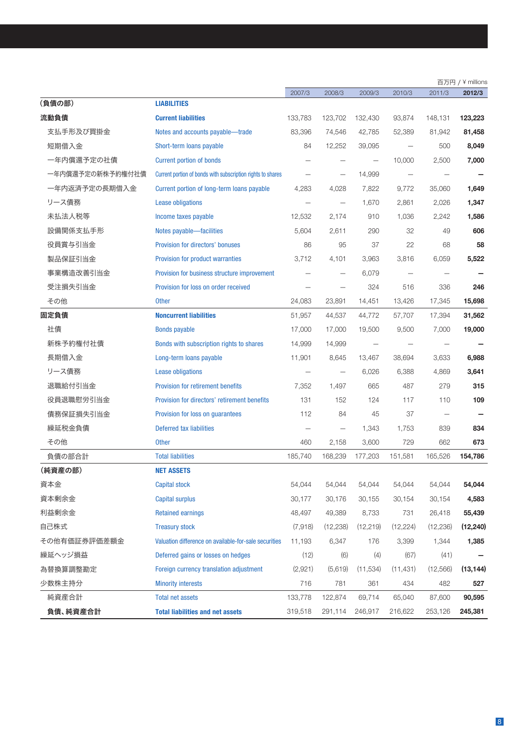|                  |                                                             |         |                          |           |           |                          | 百万円 / ¥ millions |
|------------------|-------------------------------------------------------------|---------|--------------------------|-----------|-----------|--------------------------|------------------|
|                  |                                                             | 2007/3  | 2008/3                   | 2009/3    | 2010/3    | 2011/3                   | 2012/3           |
| (負債の部)           | <b>LIABILITIES</b>                                          |         |                          |           |           |                          |                  |
| 流動負債             | <b>Current liabilities</b>                                  | 133,783 | 123,702                  | 132,430   | 93,874    | 148,131                  | 123,223          |
| 支払手形及び買掛金        | Notes and accounts payable—trade                            | 83,396  | 74,546                   | 42,785    | 52,389    | 81,942                   | 81,458           |
| 短期借入金            | Short-term loans payable                                    | 84      | 12,252                   | 39,095    |           | 500                      | 8,049            |
| 一年内償還予定の社債       | <b>Current portion of bonds</b>                             |         |                          |           | 10,000    | 2,500                    | 7,000            |
| 一年内償還予定の新株予約権付社債 | Current portion of bonds with subscription rights to shares |         | $\qquad \qquad -$        | 14,999    |           |                          |                  |
| 一年内返済予定の長期借入金    | Current portion of long-term loans payable                  | 4,283   | 4,028                    | 7,822     | 9,772     | 35,060                   | 1,649            |
| リース債務            | <b>Lease obligations</b>                                    |         | $\overline{\phantom{0}}$ | 1,670     | 2,861     | 2,026                    | 1,347            |
| 未払法人税等           | Income taxes payable                                        | 12,532  | 2,174                    | 910       | 1,036     | 2,242                    | 1,586            |
| 設備関係支払手形         | Notes payable-facilities                                    | 5,604   | 2,611                    | 290       | 32        | 49                       | 606              |
| 役員賞与引当金          | Provision for directors' bonuses                            | 86      | 95                       | 37        | 22        | 68                       | 58               |
| 製品保証引当金          | Provision for product warranties                            | 3,712   | 4,101                    | 3,963     | 3,816     | 6,059                    | 5,522            |
| 事業構造改善引当金        | Provision for business structure improvement                |         | $\overline{\phantom{0}}$ | 6,079     |           |                          |                  |
| 受注損失引当金          | Provision for loss on order received                        |         |                          | 324       | 516       | 336                      | 246              |
| その他              | <b>Other</b>                                                | 24,083  | 23,891                   | 14,451    | 13,426    | 17,345                   | 15,698           |
| 固定負債             | <b>Noncurrent liabilities</b>                               | 51,957  | 44,537                   | 44,772    | 57,707    | 17,394                   | 31,562           |
| 社債               | <b>Bonds payable</b>                                        | 17,000  | 17,000                   | 19,500    | 9,500     | 7,000                    | 19,000           |
| 新株予約権付社債         | Bonds with subscription rights to shares                    | 14,999  | 14,999                   |           |           |                          |                  |
| 長期借入金            | Long-term loans payable                                     | 11,901  | 8,645                    | 13,467    | 38,694    | 3,633                    | 6,988            |
| リース債務            | <b>Lease obligations</b>                                    |         | $\qquad \qquad -$        | 6,026     | 6,388     | 4,869                    | 3,641            |
| 退職給付引当金          | Provision for retirement benefits                           | 7,352   | 1,497                    | 665       | 487       | 279                      | 315              |
| 役員退職慰労引当金        | Provision for directors' retirement benefits                | 131     | 152                      | 124       | 117       | 110                      | 109              |
| 債務保証損失引当金        | Provision for loss on guarantees                            | 112     | 84                       | 45        | 37        | $\overline{\phantom{0}}$ |                  |
| 繰延税金負債           | Deferred tax liabilities                                    |         | $\overline{\phantom{0}}$ | 1,343     | 1,753     | 839                      | 834              |
| その他              | <b>Other</b>                                                | 460     | 2,158                    | 3,600     | 729       | 662                      | 673              |
| 負債の部合計           | <b>Total liabilities</b>                                    | 185,740 | 168,239                  | 177,203   | 151,581   | 165,526                  | 154,786          |
| (純資産の部)          | <b>NET ASSETS</b>                                           |         |                          |           |           |                          |                  |
| 資本金              | <b>Capital stock</b>                                        | 54,044  | 54,044                   | 54,044    | 54,044    | 54,044                   | 54,044           |
| 資本剰余金            | <b>Capital surplus</b>                                      | 30,177  | 30,176                   | 30,155    | 30,154    | 30,154                   | 4,583            |
| 利益剰余金            | <b>Retained earnings</b>                                    | 48,497  | 49,389                   | 8,733     | 731       | 26,418                   | 55,439           |
| 自己株式             | <b>Treasury stock</b>                                       | (7,918) | (12, 238)                | (12, 219) | (12, 224) | (12, 236)                | (12, 240)        |
| その他有価証券評価差額金     | Valuation difference on available-for-sale securities       | 11,193  | 6,347                    | 176       | 3,399     | 1,344                    | 1,385            |
| 繰延ヘッジ損益          | Deferred gains or losses on hedges                          | (12)    | (6)                      | (4)       | (67)      | (41)                     |                  |
| 為替換算調整勘定         | Foreign currency translation adjustment                     | (2,921) | (5,619)                  | (11, 534) | (11, 431) | (12,566)                 | (13, 144)        |
| 少数株主持分           | <b>Minority interests</b>                                   | 716     | 781                      | 361       | 434       | 482                      | 527              |
| 純資産合計            | <b>Total net assets</b>                                     | 133,778 | 122,874                  | 69,714    | 65,040    | 87,600                   | 90,595           |
| 負債、純資産合計         | <b>Total liabilities and net assets</b>                     | 319,518 | 291,114                  | 246,917   | 216,622   | 253,126                  | 245,381          |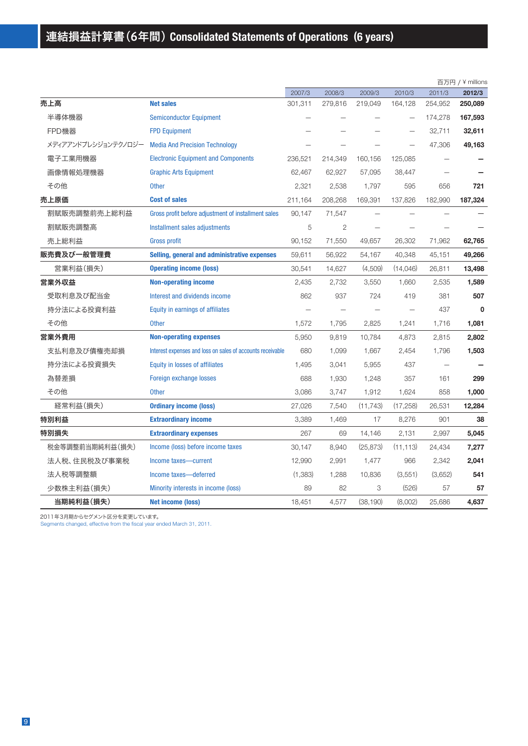|                     |                                                            |         |         |           |           |         | 百万円 / ¥ millions |
|---------------------|------------------------------------------------------------|---------|---------|-----------|-----------|---------|------------------|
|                     |                                                            | 2007/3  | 2008/3  | 2009/3    | 2010/3    | 2011/3  | 2012/3           |
| 売上高                 | <b>Net sales</b>                                           | 301,311 | 279,816 | 219,049   | 164,128   | 254,952 | 250,089          |
| 半導体機器               | <b>Semiconductor Equipment</b>                             |         |         |           |           | 174,278 | 167,593          |
| FPD機器               | <b>FPD Equipment</b>                                       |         |         |           |           | 32,711  | 32,611           |
| メディアアンドプレシジョンテクノロジー | <b>Media And Precision Technology</b>                      |         |         |           |           | 47,306  | 49,163           |
| 電子工業用機器             | <b>Electronic Equipment and Components</b>                 | 236,521 | 214,349 | 160,156   | 125,085   |         |                  |
| 画像情報処理機器            | <b>Graphic Arts Equipment</b>                              | 62,467  | 62,927  | 57,095    | 38,447    |         |                  |
| その他                 | <b>Other</b>                                               | 2,321   | 2,538   | 1,797     | 595       | 656     | 721              |
| 売上原価                | <b>Cost of sales</b>                                       | 211,164 | 208,268 | 169,391   | 137,826   | 182,990 | 187,324          |
| 割賦販売調整前売上総利益        | Gross profit before adjustment of installment sales        | 90,147  | 71,547  |           |           |         |                  |
| 割賦販売調整高             | Installment sales adjustments                              | 5       | 2       |           |           |         |                  |
| 売上総利益               | <b>Gross profit</b>                                        | 90,152  | 71,550  | 49,657    | 26,302    | 71,962  | 62,765           |
| 販売費及び一般管理費          | Selling, general and administrative expenses               | 59,611  | 56,922  | 54,167    | 40,348    | 45,151  | 49,266           |
| 営業利益(損失)            | <b>Operating income (loss)</b>                             | 30,541  | 14,627  | (4,509)   | (14,046)  | 26,811  | 13,498           |
| 営業外収益               | <b>Non-operating income</b>                                | 2,435   | 2,732   | 3,550     | 1,660     | 2,535   | 1,589            |
| 受取利息及び配当金           | Interest and dividends income                              | 862     | 937     | 724       | 419       | 381     | 507              |
| 持分法による投資利益          | Equity in earnings of affiliates                           |         |         |           |           | 437     | $\mathbf 0$      |
| その他                 | <b>Other</b>                                               | 1,572   | 1,795   | 2,825     | 1,241     | 1,716   | 1,081            |
| 営業外費用               | <b>Non-operating expenses</b>                              | 5,950   | 9,819   | 10,784    | 4,873     | 2,815   | 2,802            |
| 支払利息及び債権売却損         | Interest expenses and loss on sales of accounts receivable | 680     | 1,099   | 1,667     | 2,454     | 1,796   | 1,503            |
| 持分法による投資損失          | Equity in losses of affiliates                             | 1,495   | 3,041   | 5,955     | 437       |         |                  |
| 為替差損                | Foreign exchange losses                                    | 688     | 1,930   | 1,248     | 357       | 161     | 299              |
| その他                 | <b>Other</b>                                               | 3,086   | 3,747   | 1,912     | 1,624     | 858     | 1,000            |
| 経常利益(損失)            | <b>Ordinary income (loss)</b>                              | 27,026  | 7.540   | (11, 743) | (17, 258) | 26,531  | 12,284           |
| 特別利益                | <b>Extraordinary income</b>                                | 3,389   | 1,469   | 17        | 8,276     | 901     | 38               |
| 特別損失                | <b>Extraordinary expenses</b>                              | 267     | 69      | 14,146    | 2,131     | 2,997   | 5,045            |
| 税金等調整前当期純利益(損失)     | Income (loss) before income taxes                          | 30,147  | 8,940   | (25, 873) | (11, 113) | 24,434  | 7,277            |
| 法人税、住民税及び事業税        | Income taxes-current                                       | 12,990  | 2,991   | 1,477     | 966       | 2,342   | 2,041            |
| 法人税等調整額             | Income taxes-deferred                                      | (1,383) | 1,288   | 10,836    | (3,551)   | (3,652) | 541              |
| 少数株主利益(損失)          | Minority interests in income (loss)                        | 89      | 82      | 3         | (526)     | 57      | 57               |
| 当期純利益(損失)           | <b>Net income (loss)</b>                                   | 18.451  | 4.577   | (38, 190) | (8.002)   | 25.686  | 4.637            |

2011年3月期からセグメント区分を変更しています。

Segments changed, effective from the fiscal year ended March 31, 2011.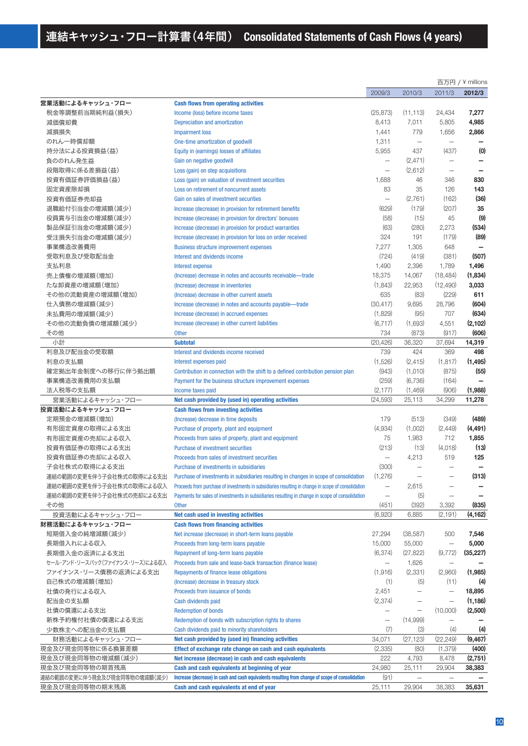|                                 |                                                                                                     |                          |                          |                          | 百万円 / ¥ millions |
|---------------------------------|-----------------------------------------------------------------------------------------------------|--------------------------|--------------------------|--------------------------|------------------|
|                                 |                                                                                                     | 2009/3                   | 2010/3                   | 2011/3                   | 2012/3           |
| 営業活動によるキャッシュ・フロー                | <b>Cash flows from operating activities</b>                                                         |                          |                          |                          |                  |
| 税金等調整前当期純利益(損失)                 | Income (loss) before income taxes                                                                   | (25, 873)                | (11, 113)                | 24,434                   | 7,277            |
| 減価償却費                           | Depreciation and amortization                                                                       | 8,413                    | 7,011                    | 5,805                    | 4,985            |
| 減損損失                            | <b>Impairment loss</b>                                                                              | 1,441                    | 779                      | 1,656                    | 2,866            |
| のれん一時償却額                        | One-time amortization of goodwill                                                                   | 1,311                    | $\overline{\phantom{0}}$ |                          |                  |
| 持分法による投資損益(益)                   | Equity in (earnings) losses of affiliates                                                           | 5,955                    | 437                      | (437)                    | (0)              |
| 負ののれん発生益                        | Gain on negative goodwill                                                                           | $\overline{\phantom{0}}$ | (2, 471)                 | $\overline{\phantom{0}}$ |                  |
| 段階取得に係る差損益(益)                   | Loss (gain) on step acquisitions                                                                    | $\overline{\phantom{m}}$ | (2,612)                  | $\overline{\phantom{0}}$ |                  |
| 投資有価証券評価損益(益)                   | Loss (gain) on valuation of investment securities                                                   | 1,688                    | 46                       | 346                      | 830              |
| 固定資産除却損                         | Loss on retirement of noncurrent assets                                                             | 83                       | 35                       | 126                      | 143              |
| 投資有価証券売却益                       | Gain on sales of investment securities                                                              | $\qquad \qquad -$        | (2,761)                  | (162)                    | (36)             |
| 退職給付引当金の増減額(減少)                 | Increase (decrease) in provision for retirement benefits                                            | (629)                    | (179)                    | (207)                    | 35               |
| 役員賞与引当金の増減額(減少)                 | Increase (decrease) in provision for directors' bonuses                                             | (58)                     | (15)                     | 45                       | (9)              |
| 製品保証引当金の増減額(減少)                 | Increase (decrease) in provision for product warranties                                             | (63)                     | (280)                    | 2,273                    | (534)            |
| 受注損失引当金の増減額(減少)                 | Increase (decrease) in provision for loss on order received                                         | 324                      | 191                      | (179)                    | (89)             |
|                                 |                                                                                                     | 7,277                    | 1,305                    | 648                      |                  |
| 事業構造改善費用                        | <b>Business structure improvement expenses</b>                                                      |                          |                          | (381)                    | (507)            |
| 受取利息及び受取配当金                     | Interest and dividends income                                                                       | (724)                    | (419)                    |                          |                  |
| 支払利息                            | Interest expense                                                                                    | 1,490                    | 2,396                    | 1,789                    | 1,496            |
| 売上債権の増減額(増加)                    | (Increase) decrease in notes and accounts receivable-trade                                          | 18,375                   | 14,067                   | (18, 484)                | (1,834)          |
| たな卸資産の増減額(増加)                   | (Increase) decrease in inventories                                                                  | (1,843)                  | 22,953                   | (12, 490)                | 3,033            |
| その他の流動資産の増減額(増加)                | (Increase) decrease in other current assets                                                         | 635                      | (83)                     | (229)                    | 611              |
| 仕入債務の増減額(減少)                    | Increase (decrease) in notes and accounts payable-trade                                             | (30, 417)                | 9,695                    | 28,796                   | (604)            |
| 未払費用の増減額(減少)                    | Increase (decrease) in accrued expenses                                                             | (1,829)                  | (95)                     | 707                      | (634)            |
| その他の流動負債の増減額(減少)                | Increase (decrease) in other current liabilities                                                    | (6, 717)                 | (1,693)                  | 4,551                    | (2, 102)         |
| その他                             | <b>Other</b>                                                                                        | 734                      | (873)                    | (917)                    | (606)            |
| 小計                              | <b>Subtotal</b>                                                                                     | (20, 426)                | 36,320                   | 37,694                   | 14,319           |
| 利息及び配当金の受取額                     | Interest and dividends income received                                                              | 739                      | 424                      | 369                      | 498              |
| 利息の支払額                          | Interest expenses paid                                                                              | (1,526)                  | (2, 415)                 | (1, 817)                 | (1, 495)         |
| 確定拠出年金制度への移行に伴う拠出額              | Contribution in connection with the shift to a defined contribution pension plan                    | (943)                    | (1,010)                  | (875)                    | (55)             |
| 事業構造改善費用の支払額                    | Payment for the business structure improvement expenses                                             | (259)                    | (6,736)                  | (164)                    |                  |
| 法人税等の支払額                        | Income taxes paid                                                                                   | (2, 177)                 | (1,469)                  | (906)                    | (1,988)          |
| 営業活動によるキャッシュ・フロー                | Net cash provided by (used in) operating activities                                                 | (24, 593)                | 25,113                   | 34,299                   | 11,278           |
| 投資活動によるキャッシュ・フロー                | <b>Cash flows from investing activities</b>                                                         |                          |                          |                          |                  |
| 定期預金の増減額(増加)                    | (Increase) decrease in time deposits                                                                | 179                      | (513)                    | (349)                    | (489)            |
| 有形固定資産の取得による支出                  | Purchase of property, plant and equipment                                                           | (4,934)                  | (1,002)                  | (2, 449)                 | (4, 491)         |
| 有形固定資産の売却による収入                  | Proceeds from sales of property, plant and equipment                                                | 75                       | 1,983                    | 712                      | 1,855            |
| 投資有価証券の取得による支出                  | <b>Purchase of investment securities</b>                                                            | (213)                    | (13)                     | (4,018)                  | (13)             |
| 投資有価証券の売却による収入                  | Proceeds from sales of investment securities                                                        | $\overline{\phantom{0}}$ | 4,213                    | 519                      | 125              |
| 子会社株式の取得による支出                   | Purchase of investments in subsidiaries                                                             | (300)                    | $\overline{\phantom{0}}$ |                          |                  |
| 連結の範囲の変更を伴う子会社株式の取得による支出        | Purchase of investments in subsidiaries resulting in changes in scope of consolidation              | (1,276)                  |                          |                          | (313)            |
| 連結の範囲の変更を伴う子会社株式の取得による収入        | Proceeds from purchase of investments in subsidiaries resulting in change in scope of consolidation | $\overline{\phantom{m}}$ | 2,615                    |                          |                  |
| 連結の範囲の変更を伴う子会社株式の売却による支出        | Payments for sales of investments in subsidiaries resulting in change in scope of consolidation     | $\overline{\phantom{0}}$ | (5)                      |                          |                  |
| その他                             | <b>Other</b>                                                                                        | (451)                    | (392)                    | 3,392                    | (835)            |
| 投資活動によるキャッシュ・フロー                | Net cash used in investing activities                                                               | (6,920)                  | 6,885                    | (2, 191)                 | (4, 162)         |
| 財務活動によるキャッシュ・フロー                | <b>Cash flows from financing activities</b>                                                         |                          |                          |                          |                  |
| 短期借入金の純増減額(減少)                  | Net increase (decrease) in short-term loans payable                                                 | 27,294                   | (38, 587)                | 500                      | 7,546            |
| 長期借入れによる収入                      | Proceeds from long-term loans payable                                                               | 15,000                   | 55,000                   | $\overline{\phantom{0}}$ | 5,000            |
| 長期借入金の返済による支出                   | Repayment of long-term loans payable                                                                | (6, 374)                 | (27, 822)                | (9,772)                  | (35, 227)        |
| セール・アンド・リースバック(ファイナンス・リース)による収入 | Proceeds from sale and lease-back transaction (finance lease)                                       | —                        | 1,626                    | $\overline{\phantom{m}}$ |                  |
| ファイナンス・リース債務の返済による支出            | Repayments of finance lease obligations                                                             | (1,916)                  | (2, 331)                 | (2,960)                  | (1,985)          |
| 自己株式の増減額(増加)                    | (Increase) decrease in treasury stock                                                               | (1)                      | (5)                      | (11)                     | (4)              |
| 社債の発行による収入                      | Proceeds from issuance of bonds                                                                     | 2,451                    | $\overline{\phantom{0}}$ |                          | 18,895           |
| 配当金の支払額                         | Cash dividends paid                                                                                 | (2, 374)                 | $\overline{\phantom{0}}$ | $\overline{\phantom{m}}$ | (1, 186)         |
| 社債の償還による支出                      | <b>Redemption of bonds</b>                                                                          |                          | -                        | (10,000)                 | (2,500)          |
| 新株予約権付社債の償還による支出                | Redemption of bonds with subscription rights to shares                                              | $\overline{\phantom{0}}$ | (14,999)                 |                          |                  |
| 少数株主への配当金の支払額                   | Cash dividends paid to minority shareholders                                                        | (7)                      | (3)                      | (4)                      | (4)              |
| 財務活動によるキャッシュ・フロー                | Net cash provided by (used in) financing activities                                                 | 34,071                   | (27, 123)                | (22, 249)                | (9, 467)         |
| 現金及び現金同等物に係る換算差額                | Effect of exchange rate change on cash and cash equivalents                                         | (2,335)                  | (80)                     | (1, 379)                 | (400)            |
| 現金及び現金同等物の増減額(減少)               | Net increase (decrease) in cash and cash equivalents                                                | 222                      | 4,793                    | 8,478                    | (2,751)          |
| 現金及び現金同等物の期首残高                  | Cash and cash equivalents at beginning of year                                                      | 24,980                   | 25,111                   | 29,904                   | 38,383           |
| 連結の範囲の変更に伴う現金及び現金同等物の増減額(減少)    | Increase (decrease) in cash and cash equivalents resulting from change of scope of consolidation    | (91)                     | $\overline{\phantom{0}}$ | $\overline{\phantom{0}}$ |                  |
| 現金及び現金同等物の期末残高                  | Cash and cash equivalents at end of year                                                            | 25,111                   | 29,904                   | 38,383                   | 35,631           |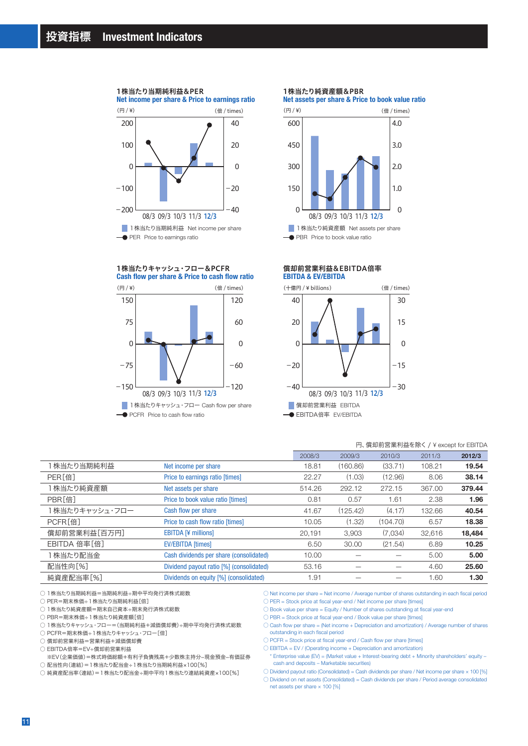#### 1株当たり当期純利益&PER

**Net income per share & Price to earnings ratio**



#### **Cash flow per share & Price to cash flow ratio** 1株当たりキャッシュ・フロー&PCFR



#### 1株当たり純資産額&PBR

**Net assets per share & Price to book value ratio**



#### **EBITDA & EV/EBITDA** 償却前営業利益&EBITDA倍率



#### 円、償却前営業利益を除く / ¥ except for EBITDA

|                    |                                          | 2008/3 | 2009/3   | 2010/3   | 2011/3 | 2012/3 |
|--------------------|------------------------------------------|--------|----------|----------|--------|--------|
| 1 株当たり当期純利益        | Net income per share                     | 18.81  | (160.86) | (33.71)  | 108.21 | 19.54  |
| PER <sup>[倍]</sup> | Price to earnings ratio [times]          | 22.27  | (1.03)   | (12.96)  | 8.06   | 38.14  |
| 株当たり純資産額           | Net assets per share                     | 514.26 | 292.12   | 272.15   | 367.00 | 379.44 |
| PBR[倍]             | Price to book value ratio [times]        | 0.81   | 0.57     | 1.61     | 2.38   | 1.96   |
| 1株当たりキャッシュ・フロー     | Cash flow per share                      | 41.67  | (125.42) | (4.17)   | 132.66 | 40.54  |
| PCFR[倍]            | Price to cash flow ratio [times]         | 10.05  | (1.32)   | (104.70) | 6.57   | 18.38  |
| 償却前営業利益[百万円]       | <b>EBITDA [¥ millions]</b>               | 20.191 | 3,903    | (7.034)  | 32.616 | 18,484 |
| EBITDA 倍率[倍]       | <b>EV/EBITDA</b> [times]                 | 6.50   | 30.00    | (21.54)  | 6.89   | 10.25  |
| 1 株当たり配当金          | Cash dividends per share (consolidated)  | 10.00  |          |          | 5.00   | 5.00   |
| 配当性向[%]            | Dividend payout ratio [%] (consolidated) | 53.16  |          |          | 4.60   | 25.60  |
| 純資産配当率[%]          | Dividends on equity [%] (consolidated)   | 1.91   |          |          | 1.60   | 1.30   |

○1株当たり当期純利益=当期純利益÷期中平均発行済株式総数

○ PER=期末株価÷1株当たり当期純利益[倍]

○ 1株当たり純資産額=期末自己資本÷期末発行済株式総数

○ PBR=期末株価÷1株当たり純資産額[倍]

○ 1株当たりキャッシュ・フロー=(当期純利益+減価償却費)÷期中平均発行済株式総数

○ PCFR=期末株価÷1株当たりキャッシュ・フロー[倍]

○ 償却前営業利益=営業利益+減価償却費

○ EBITDA倍率=EV÷償却前営業利益

 ※EV(企業価値)=株式時価総額+有利子負債残高+少数株主持分-現金預金-有価証券 ○ 配当性向(連結)=1株当たり配当金÷1株当たり当期純利益×100[%]

○ 純資産配当率(連結)=1株当たり配当金÷期中平均1株当たり連結純資産×100[%]

○ Net income per share = Net income / Average number of shares outstanding in each fiscal period ○ PER = Stock price at fiscal year-end / Net income per share [times]

○ Book value per share = Equity / Number of shares outstanding at fiscal year-end

○ PBR = Stock price at fiscal year-end / Book value per share [times]

 $\bigcirc$  Cash flow per share = (Net income + Depreciation and amortization) / Average number of shares outstanding in each fiscal period

 $\bigcirc$  PCFR = Stock price at fiscal year-end / Cash flow per share [times]

 $\bigcirc$  EBITDA = EV / (Operating income + Depreciation and amortization)

\* Enterprise value (EV) = (Market value + Interest-bearing debt + Minority shareholders' equity – cash and deposits – Marketable securities)

 $\circlearrowright$  Dividend payout ratio (Consolidated) = Cash dividends per share / Net income per share  $\times$  100 [%]

○ Dividend on net assets (Consolidated) = Cash dividends per share / Period average consolidated net assets per share × 100 [%]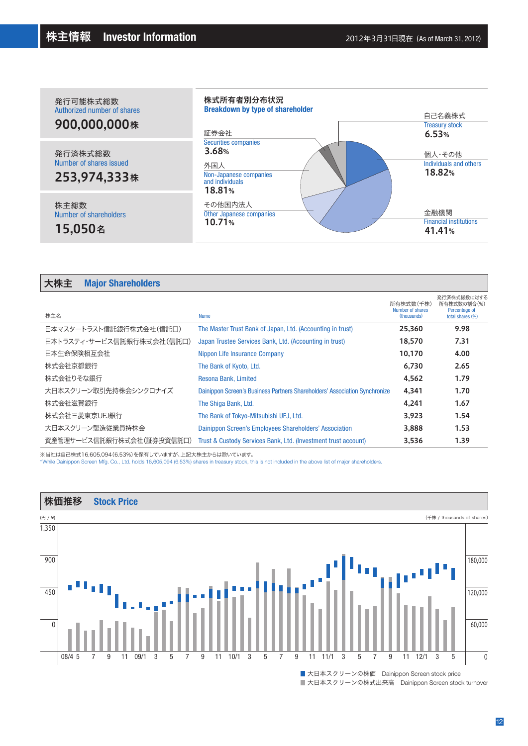

| 大株主 | <b>Major Shareholders</b> |
|-----|---------------------------|
|-----|---------------------------|

| 株主名                       | Name                                                                       | 所有株式数(千株)<br>Number of shares<br>(thousands) | 発行済株式総数に対する<br>所有株式数の割合(%)<br>Percentage of<br>total shares (%) |
|---------------------------|----------------------------------------------------------------------------|----------------------------------------------|-----------------------------------------------------------------|
| 日本マスタートラスト信託銀行株式会社(信託口)   | The Master Trust Bank of Japan, Ltd. (Accounting in trust)                 | 25.360                                       | 9.98                                                            |
| 日本トラスティ・サービス信託銀行株式会社(信託口) | Japan Trustee Services Bank, Ltd. (Accounting in trust)                    | 18,570                                       | 7.31                                                            |
| 日本生命保険相互会社                | Nippon Life Insurance Company                                              | 10.170                                       | 4.00                                                            |
| 株式会社京都銀行                  | The Bank of Kyoto, Ltd.                                                    | 6.730                                        | 2.65                                                            |
| 株式会社りそな銀行                 | Resona Bank, Limited                                                       | 4,562                                        | 1.79                                                            |
| 大日本スクリーン取引先持株会シンクロナイズ     | Dainippon Screen's Business Partners Shareholders' Association Synchronize | 4.341                                        | 1.70                                                            |
| 株式会社滋賀銀行                  | The Shiga Bank, Ltd.                                                       | 4.241                                        | 1.67                                                            |
| 株式会社三菱東京UFJ銀行             | The Bank of Tokyo-Mitsubishi UFJ, Ltd.                                     | 3.923                                        | 1.54                                                            |
| 大日本スクリーン製造従業員持株会          | Dainippon Screen's Employees Shareholders' Association                     | 3.888                                        | 1.53                                                            |
| 資産管理サービス信託銀行株式会社(証券投資信託口) | Trust & Custody Services Bank, Ltd. (Investment trust account)             | 3,536                                        | 1.39                                                            |

※当社は自己株式16,605,094(6.53%)を保有していますが、上記大株主からは除いています。

\*While Dainippon Screen Mfg. Co., Ltd. holds 16,605,094 (6.53%) shares in treasury stock, this is not included in the above list of major shareholders.

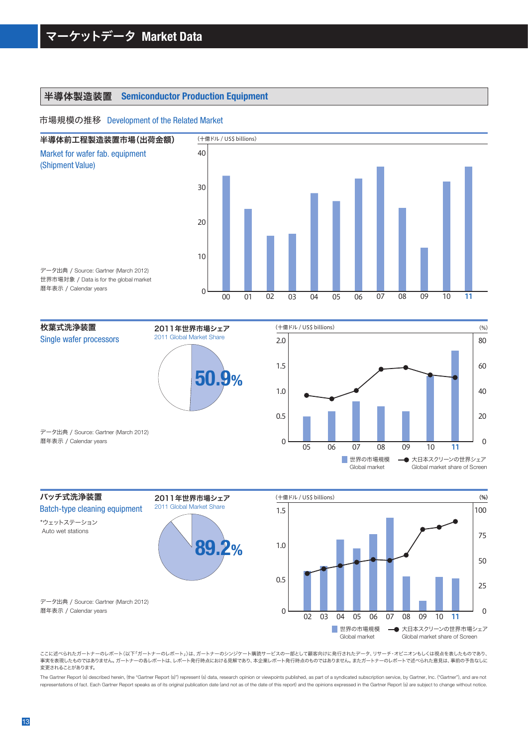# 半導体製造装置 **Semiconductor Production Equipment**

### 市場規模の推移 Development of the Related Market







ここに述べられたガートナーのレポート(以下「ガートナーのレポート」)は、ガートナーのシンジケート購読サービスの一部として顧客向けに発行されたデータ、リサーチ・オピニオンもしくは視点を表したものであり、 事実を表現したものではありません。ガートナーの各レポートは、レポート発行時点における見解であり、本企業レポート発行時点のものではありません。またガートナーのレポートで述べられた意見は、事前の予告なしに 変更されることがあります。

The Gartner Report (s) described herein, (the "Gartner Report (s)") represent (s) data, research opinion or viewpoints published, as part of a syndicated subscription service, by Gartner, Inc. ("Gartner"), and are not representations of fact. Each Gartner Report speaks as of its original publication date (and not as of the date of this report) and the opinions expressed in the Gartner Report (s) are subject to change without notice.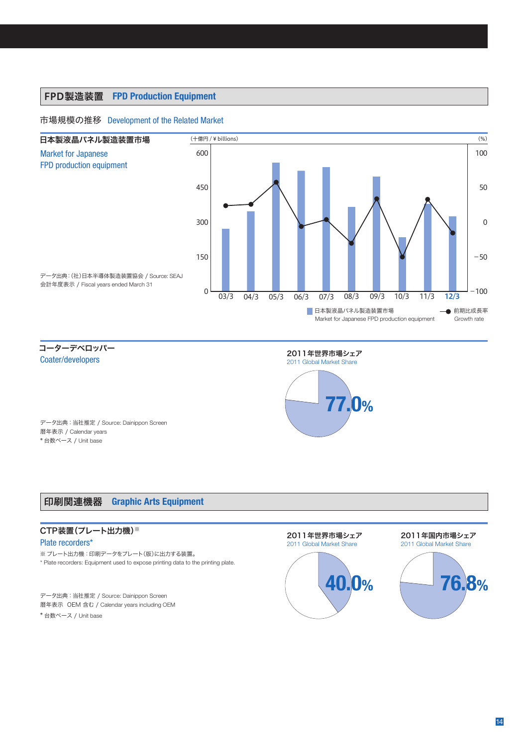# FPD製造装置 **FPD Production Equipment**

# 市場規模の推移 Development of the Related Market



コーターデベロッパー Coater/developers



データ出典:当社推定 / Source: Dainippon Screen 暦年表示 / Calendar years \* 台数ベース / Unit base

# 印刷関連機器 **Graphic Arts Equipment**

# CTP装置(プレート出力機)※ Plate recorders\*

※ プレート出力機:印刷データをプレート(版)に出力する装置。

\* Plate recorders: Equipment used to expose printing data to the printing plate.

データ出典:当社推定 / Source: Dainippon Screen 暦年表示 OEM 含む / Calendar years including OEM \* 台数ベース / Unit base

## 2011年世界市場シェア 2011 Global Market Share



#### 2011年国内市場シェア 2011 Global Market Share